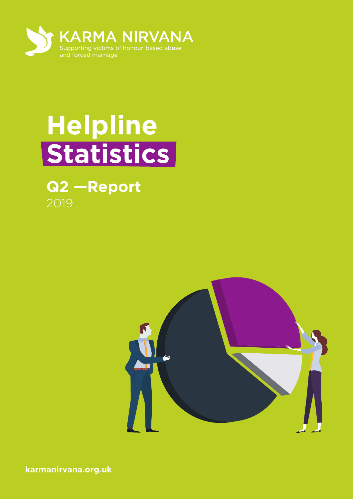

## **Helpline Statistics**

# **Q2 —Report**



**karmanirvana.org.uk**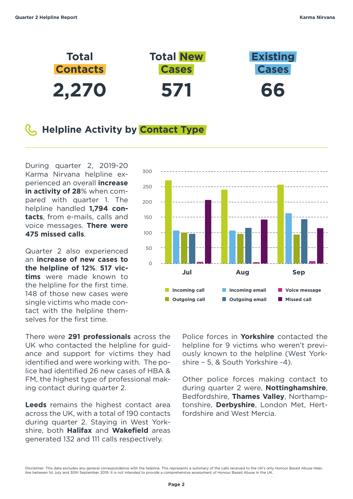

#### **Helpline Activity by Contact Type**

During quarter 2, 2019-20 Karma Nirvana helpline experienced an overall **increase in activity of 28**% when compared with quarter 1. The helpline handled **1,794 contacts**, from e-mails, calls and voice messages. **There were 475 missed calls**.

Quarter 2 also experienced an **increase of new cases to the helpline of 12%**. **517 victims** were made known to the helpline for the first time. 148 of those new cases were single victims who made contact with the helpline themselves for the first time.

There were **291 professionals** across the UK who contacted the helpline for guidance and support for victims they had identified and were working with. The police had identified 26 new cases of HBA & FM, the highest type of professional making contact during quarter 2.

**Leeds** remains the highest contact area across the UK, with a total of 190 contacts during quarter 2. Staying in West Yorkshire, both **Halifax** and **Wakefield** areas generated 132 and 111 calls respectively.



Police forces in **Yorkshire** contacted the helpline for 9 victims who weren't previously known to the helpline (West Yorkshire – 5, & South Yorkshire -4).

Other police forces making contact to during quarter 2 were, **Nottinghamshire**, Bedfordshire, **Thames Valley**, Northamptonshire, **Derbyshire**, London Met, Hertfordshire and West Mercia.

Disclaimer: This data excludes any general correspondence with the helpline. This represents a summary of the calls received to the UK's only Honour Based Abuse Help-<br>line between 1st July and 30th September 2019. It is no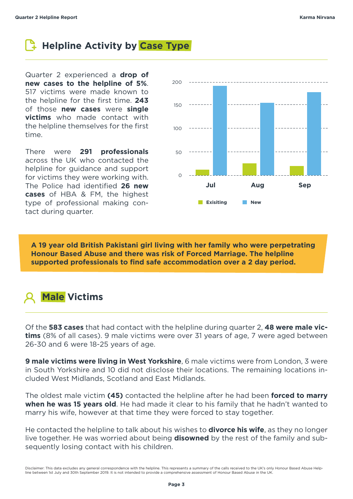## **Helpline Activity by Case Type**

Quarter 2 experienced a **drop of new cases to the helpline of 5%**. 517 victims were made known to the helpline for the first time. **243** of those **new cases** were **single victims** who made contact with the helpline themselves for the first time.

There were **291 professionals** across the UK who contacted the helpline for guidance and support for victims they were working with. The Police had identified **26 new cases** of HBA & FM, the highest type of professional making contact during quarter.



**A 19 year old British Pakistani girl living with her family who were perpetrating Honour Based Abuse and there was risk of Forced Marriage. The helpline supported professionals to find safe accommodation over a 2 day period.**



Of the **583 cases** that had contact with the helpline during quarter 2, **48 were male victims** (8% of all cases). 9 male victims were over 31 years of age, 7 were aged between 26-30 and 6 were 18-25 years of age.

**9 male victims were living in West Yorkshire**, 6 male victims were from London, 3 were in South Yorkshire and 10 did not disclose their locations. The remaining locations included West Midlands, Scotland and East Midlands.

The oldest male victim **(45)** contacted the helpline after he had been **forced to marry when he was 15 years old**. He had made it clear to his family that he hadn't wanted to marry his wife, however at that time they were forced to stay together.

He contacted the helpline to talk about his wishes to **divorce his wife**, as they no longer live together. He was worried about being **disowned** by the rest of the family and subsequently losing contact with his children.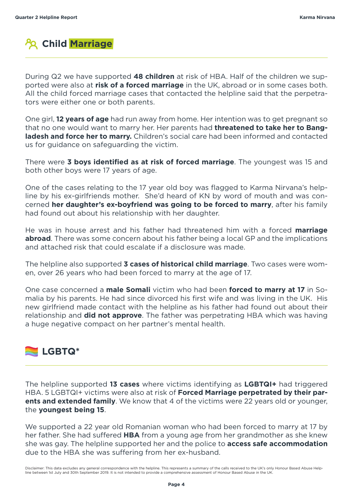

During Q2 we have supported **48 children** at risk of HBA. Half of the children we supported were also at **risk of a forced marriage** in the UK, abroad or in some cases both. All the child forced marriage cases that contacted the helpline said that the perpetrators were either one or both parents.

One girl, **12 years of age** had run away from home. Her intention was to get pregnant so that no one would want to marry her. Her parents had **threatened to take her to Bangladesh and force her to marry.** Children's social care had been informed and contacted us for guidance on safeguarding the victim.

There were **3 boys identified as at risk of forced marriage**. The youngest was 15 and both other boys were 17 years of age.

One of the cases relating to the 17 year old boy was flagged to Karma Nirvana's helpline by his ex-girlfriends mother. She'd heard of KN by word of mouth and was concerned **her daughter's ex-boyfriend was going to be forced to marry**, after his family had found out about his relationship with her daughter.

He was in house arrest and his father had threatened him with a forced **marriage abroad**. There was some concern about his father being a local GP and the implications and attached risk that could escalate if a disclosure was made.

The helpline also supported **3 cases of historical child marriage**. Two cases were women, over 26 years who had been forced to marry at the age of 17.

One case concerned a **male Somali** victim who had been **forced to marry at 17** in Somalia by his parents. He had since divorced his first wife and was living in the UK. His new girlfriend made contact with the helpline as his father had found out about their relationship and **did not approve**. The father was perpetrating HBA which was having a huge negative compact on her partner's mental health.

#### **LGBTQ\***

The helpline supported **13 cases** where victims identifying as **LGBTQI+** had triggered HBA. 5 LGBTQI+ victims were also at risk of **Forced Marriage perpetrated by their parents and extended family**. We know that 4 of the victims were 22 years old or younger, the **youngest being 15**.

We supported a 22 year old Romanian woman who had been forced to marry at 17 by her father. She had suffered **HBA** from a young age from her grandmother as she knew she was gay. The helpline supported her and the police to **access safe accommodation** due to the HBA she was suffering from her ex-husband.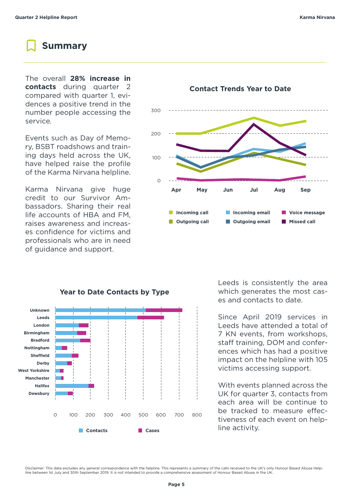#### **Summary**

The overall **28% increase in contacts** during quarter 2 compared with quarter 1, evidences a positive trend in the number people accessing the service.

Events such as Day of Memory, BSBT roadshows and training days held across the UK, have helped raise the profile of the Karma Nirvana helpline.

Karma Nirvana give huge credit to our Survivor Ambassadors. Sharing their real life accounts of HBA and FM, raises awareness and increases confidence for victims and professionals who are in need of guidance and support.





#### Leeds is consistently the area which generates the most cases and contacts to date.

Since April 2019 services in Leeds have attended a total of 7 KN events, from workshops, staff training, DOM and conferences which has had a positive impact on the helpline with 105 victims accessing support.

With events planned across the UK for quarter 3, contacts from each area will be continue to be tracked to measure effectiveness of each event on helpline activity.

Disclaimer: This data excludes any general correspondence with the helpline. This represents a summary of the calls received to the UK's only Honour Based Abuse Help-<br>line between 1st July and 30th September 2019. It is no